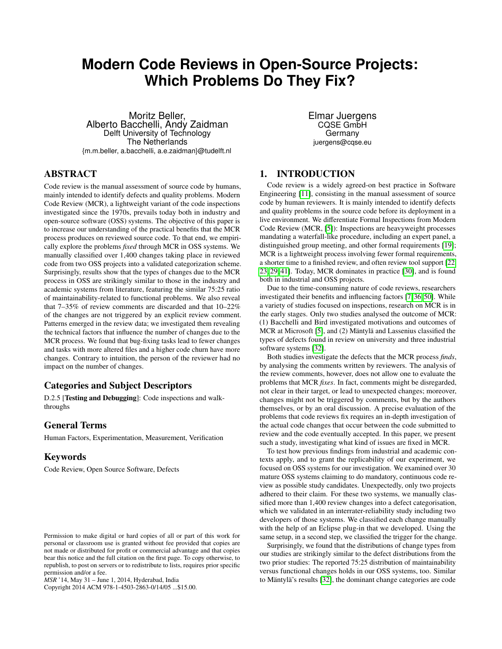# <span id="page-0-0"></span>**Modern Code Reviews in Open-Source Projects: Which Problems Do They Fix?**

Moritz Beller, Alberto Bacchelli, Andy Zaidman Delft University of Technology The Netherlands {m.m.beller, a.bacchelli, a.e.zaidman}@tudelft.nl

## Elmar Juergens CQSE GmbH Germany juergens@cqse.eu

# ABSTRACT

Code review is the manual assessment of source code by humans, mainly intended to identify defects and quality problems. Modern Code Review (MCR), a lightweight variant of the code inspections investigated since the 1970s, prevails today both in industry and open-source software (OSS) systems. The objective of this paper is to increase our understanding of the practical benefits that the MCR process produces on reviewed source code. To that end, we empirically explore the problems *fixed* through MCR in OSS systems. We manually classified over 1,400 changes taking place in reviewed code from two OSS projects into a validated categorization scheme. Surprisingly, results show that the types of changes due to the MCR process in OSS are strikingly similar to those in the industry and academic systems from literature, featuring the similar 75:25 ratio of maintainability-related to functional problems. We also reveal that 7–35% of review comments are discarded and that 10–22% of the changes are not triggered by an explicit review comment. Patterns emerged in the review data; we investigated them revealing the technical factors that influence the number of changes due to the MCR process. We found that bug-fixing tasks lead to fewer changes and tasks with more altered files and a higher code churn have more changes. Contrary to intuition, the person of the reviewer had no impact on the number of changes.

# Categories and Subject Descriptors

D.2.5 [Testing and Debugging]: Code inspections and walkthroughs

# General Terms

Human Factors, Experimentation, Measurement, Verification

# Keywords

Code Review, Open Source Software, Defects

Copyright 2014 ACM 978-1-4503-2863-0/14/05 ...\$15.00.

# 1. INTRODUCTION

Code review is a widely agreed-on best practice in Software Engineering [\[11\]](#page-9-0), consisting in the manual assessment of source code by human reviewers. It is mainly intended to identify defects and quality problems in the source code before its deployment in a live environment. We differentiate Formal Inspections from Modern Code Review (MCR, [\[5\]](#page-8-0)): Inspections are heavyweight processes mandating a waterfall-like procedure, including an expert panel, a distinguished group meeting, and other formal requirements [\[19\]](#page-9-1); MCR is a lightweight process involving fewer formal requirements, a shorter time to a finished review, and often review tool support [\[22,](#page-9-2) [23,](#page-9-3) [29,](#page-9-4) [41\]](#page-9-5). Today, MCR dominates in practice [\[30\]](#page-9-6), and is found both in industrial and OSS projects.

Due to the time-consuming nature of code reviews, researchers investigated their benefits and influencing factors [\[7,](#page-8-1) [36,](#page-9-7) [50\]](#page-9-8). While a variety of studies focused on inspections, research on MCR is in the early stages. Only two studies analysed the outcome of MCR: (1) Bacchelli and Bird investigated motivations and outcomes of MCR at Microsoft [\[5\]](#page-8-0), and (2) Mäntylä and Lassenius classified the types of defects found in review on university and three industrial software systems [\[32\]](#page-9-9).

Both studies investigate the defects that the MCR process *finds*, by analysing the comments written by reviewers. The analysis of the review comments, however, does not allow one to evaluate the problems that MCR *fixes*. In fact, comments might be disregarded, not clear in their target, or lead to unexpected changes; moreover, changes might not be triggered by comments, but by the authors themselves, or by an oral discussion. A precise evaluation of the problems that code reviews fix requires an in-depth investigation of the actual code changes that occur between the code submitted to review and the code eventually accepted. In this paper, we present such a study, investigating what kind of issues are fixed in MCR.

To test how previous findings from industrial and academic contexts apply, and to grant the replicability of our experiment, we focused on OSS systems for our investigation. We examined over 30 mature OSS systems claiming to do mandatory, continuous code review as possible study candidates. Unexpectedly, only two projects adhered to their claim. For these two systems, we manually classified more than 1,400 review changes into a defect categorisation, which we validated in an interrater-reliability study including two developers of those systems. We classified each change manually with the help of an Eclipse plug-in that we developed. Using the same setup, in a second step, we classified the trigger for the change.

Surprisingly, we found that the distributions of change types from our studies are strikingly similar to the defect distributions from the two prior studies: The reported 75:25 distribution of maintainability versus functional changes holds in our OSS systems, too. Similar to Mäntylä's results [\[32\]](#page-9-9), the dominant change categories are code

Permission to make digital or hard copies of all or part of this work for personal or classroom use is granted without fee provided that copies are not made or distributed for profit or commercial advantage and that copies bear this notice and the full citation on the first page. To copy otherwise, to republish, to post on servers or to redistribute to lists, requires prior specific permission and/or a fee.

*MSR* '14, May 31 – June 1, 2014, Hyderabad, India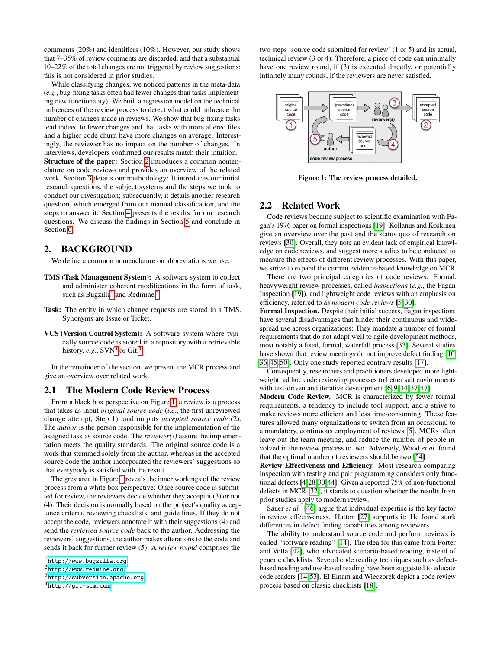comments (20%) and identifiers (10%). However, our study shows that 7–35% of review comments are discarded, and that a substantial 10–22% of the total changes are not triggered by review suggestions; this is not considered in prior studies.

While classifying changes, we noticed patterns in the meta-data (*e.g.*, bug-fixing tasks often had fewer changes than tasks implementing new functionality). We built a regression model on the technical influences of the review process to detect what could influence the number of changes made in reviews. We show that bug-fixing tasks lead indeed to fewer changes and that tasks with more altered files and a higher code churn have more changes on average. Interestingly, the reviewer has no impact on the number of changes. In interviews, developers confirmed our results match their intuition. Structure of the paper: Section [2](#page-1-0) introduces a common nomenclature on code reviews and provides an overview of the related work. Section [3](#page-2-0) details our methodology: It introduces our initial research questions, the subject systems and the steps we took to conduct our investigation; subsequently, it details another research question, which emerged from our manual classification, and the steps to answer it. Section [4](#page-5-0) presents the results for our research questions. We discuss the findings in Section [5](#page-6-0) and conclude in Section [6.](#page-8-2)

## <span id="page-1-0"></span>2. BACKGROUND

We define a common nomenclature on abbreviations we use:

- TMS (Task Management System): A software system to collect and administer coherent modifications in the form of task, such as Bugzilla<sup>[1](#page-1-1)</sup> and Redmine.<sup>[2](#page-1-2)</sup>
- Task: The entity in which change requests are stored in a TMS. Synonyms are Issue or Ticket.
- VCS (Version Control System): A software system where typically source code is stored in a repository with a retrievable history, *e.g.*,  $SVN<sup>3</sup>$  $SVN<sup>3</sup>$  $SVN<sup>3</sup>$  or Git.<sup>[4](#page-1-4)</sup>

In the remainder of the section, we present the MCR process and give an overview over related work.

#### 2.1 The Modern Code Review Process

From a black box perspective on Figure [1,](#page-1-5) a review is a process that takes as input *original source code* (*i.e.*, the first unreviewed change attempt, Step 1), and outputs *accepted source code* (2). The *author* is the person responsible for the implementation of the assigned task as source code. The *reviewer(s)* assure the implementation meets the quality standards. The original source code is a work that stemmed solely from the author, whereas in the accepted source code the author incorporated the reviewers' suggestions so that everybody is satisfied with the result.

The grey area in Figure [1](#page-1-5) reveals the inner workings of the review process from a white box perspective: Once source code is submitted for review, the reviewers decide whether they accept it (3) or not (4). Their decision is normally based on the project's quality acceptance criteria, reviewing checklists, and guide lines. If they do not accept the code, reviewers annotate it with their suggestions (4) and send the *reviewed source code* back to the author. Addressing the reviewers' suggestions, the author makes alterations to the code and sends it back for further review (5). A *review round* comprises the

<span id="page-1-4"></span> $^4$ <http://git-scm.com>

two steps 'source code submitted for review' (1 or 5) and its actual, technical review (3 or 4). Therefore, a piece of code can minimally have one review round, if (3) is executed directly, or potentially infinitely many rounds, if the reviewers are never satisfied.



Figure 1: The review process detailed.

### <span id="page-1-5"></span>2.2 Related Work

Code reviews became subject to scientific examination with Fagan's 1976 paper on formal inspections [\[19\]](#page-9-1). Kollanus and Koskinen give an overview over the past and the status quo of research on reviews [\[30\]](#page-9-6). Overall, they note an evident lack of empirical knowledge on code reviews, and suggest more studies to be conducted to measure the effects of different review processes. With this paper, we strive to expand the current evidence-based knowledge on MCR.

There are two principal categories of code reviews: Formal, heavyweight review processes, called *inspections* (*e.g.*, the Fagan Inspection [\[19\]](#page-9-1)), and lightweight code reviews with an emphasis on efficiency, referred to as *modern code reviews* [\[5,](#page-8-0) [30\]](#page-9-6).

Formal Inspection. Despite their initial success, Fagan inspections have several disadvantages that hinder their continuous and widespread use across organizations: They mandate a number of formal requirements that do not adapt well to agile development methods, most notably a fixed, formal, waterfall process [\[33\]](#page-9-10). Several studies have shown that review meetings do not improve defect finding [\[10,](#page-8-3) [36,](#page-9-7) [45,](#page-9-11) [50\]](#page-9-8). Only one study reported contrary results [\[17\]](#page-9-12).

Consequently, researchers and practitioners developed more lightweight, ad hoc code reviewing processes to better suit environments with test-driven and iterative development [\[6,](#page-8-4) [9,](#page-8-5) [34,](#page-9-13) [37,](#page-9-14) [47\]](#page-9-15).

Modern Code Review. MCR is characterized by fewer formal requirements, a tendency to include tool support, and a strive to make reviews more efficient and less time-consuming. These features allowed many organizations to switch from an occasional to a mandatory, continuous employment of reviews [\[5\]](#page-8-0). MCRs often leave out the team meeting, and reduce the number of people involved in the review process to two. Adversely, Wood *et al.* found that the optimal number of reviewers should be two [\[54\]](#page-9-16).

Review Effectiveness and Efficiency. Most research comparing inspection with testing and pair programming considers only functional defects [\[4,](#page-8-6)[28,](#page-9-17)[30,](#page-9-6)[44\]](#page-9-18). Given a reported 75% of non-functional defects in MCR [\[32\]](#page-9-9), it stands to question whether the results from prior studies apply to modern review.

Sauer *et al.* [\[46\]](#page-9-19) argue that individual expertise is the key factor in review effectiveness. Hatton [\[27\]](#page-9-20) supports it: He found stark differences in defect finding capabilities among reviewers.

The ability to understand source code and perform reviews is called "software reading" [\[14\]](#page-9-21). The idea for this came from Porter and Votta [\[42\]](#page-9-22), who advocated scenario-based reading, instead of generic checklists. Several code reading techniques such as defectbased reading and use-based reading have been suggested to educate code readers [\[14,](#page-9-21) [53\]](#page-9-23). El Emam and Wieczorek depict a code review process based on classic checklists [\[18\]](#page-9-24).

<span id="page-1-1"></span><sup>&</sup>lt;sup>1</sup><http://www.bugzilla.org>

<span id="page-1-2"></span> $^{2}$ <http://www.redmine.org>

<span id="page-1-3"></span> $^3$ <http://subversion.apache.org>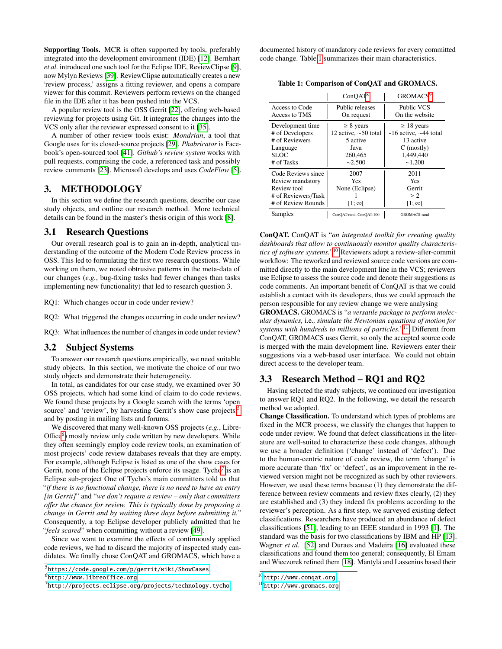Supporting Tools. MCR is often supported by tools, preferably integrated into the development environment (IDE) [\[12\]](#page-9-25). Bernhart *et al.* introduced one such tool for the Eclipse IDE, ReviewClipse [\[9\]](#page-8-5), now Mylyn Reviews [\[39\]](#page-9-26). ReviewClipse automatically creates a new 'review process,' assigns a fitting reviewer, and opens a compare viewer for this commit. Reviewers perform reviews on the changed file in the IDE after it has been pushed into the VCS.

A popular review tool is the OSS Gerrit [\[22\]](#page-9-2), offering web-based reviewing for projects using Git. It integrates the changes into the VCS only after the reviewer expressed consent to it [\[35\]](#page-9-27).

A number of other review tools exist: *Mondrian*, a tool that Google uses for its closed-source projects [\[29\]](#page-9-4). *Phabricator* is Facebook's open-sourced tool [\[41\]](#page-9-5). *Github's review system* works with pull requests, comprising the code, a referenced task and possibly review comments [\[23\]](#page-9-3). Microsoft develops and uses *CodeFlow* [\[5\]](#page-8-0).

# <span id="page-2-0"></span>3. METHODOLOGY

In this section we define the research questions, describe our case study objects, and outline our research method. More technical details can be found in the master's thesis origin of this work [\[8\]](#page-8-7).

#### 3.1 Research Questions

Our overall research goal is to gain an in-depth, analytical understanding of the outcome of the Modern Code Review process in OSS. This led to formulating the first two research questions. While working on them, we noted obtrusive patterns in the meta-data of our changes (*e.g.*, bug-fixing tasks had fewer changes than tasks implementing new functionality) that led to research question 3.

RQ1: Which changes occur in code under review?

RQ2: What triggered the changes occurring in code under review?

RQ3: What influences the number of changes in code under review?

#### 3.2 Subject Systems

To answer our research questions empirically, we need suitable study objects. In this section, we motivate the choice of our two study objects and demonstrate their heterogeneity.

In total, as candidates for our case study, we examined over 30 OSS projects, which had some kind of claim to do code reviews. We found these projects by a Google search with the terms 'open source' and 'review', by harvesting Gerrit's show case projects,<sup>[5](#page-2-1)</sup> and by posting in mailing lists and forums.

We discovered that many well-known OSS projects (*e.g.*, Libre-Office<sup>[6](#page-2-2)</sup>) mostly review only code written by new developers. While they often seemingly employ code review tools, an examination of most projects' code review databases reveals that they are empty. For example, although Eclipse is listed as one of the show cases for Gerrit, none of the Eclipse projects enforce its usage. Tycho<sup>[7](#page-2-3)</sup> is an Eclipse sub-project One of Tycho's main committers told us that "*if there is no functional change, there is no need to have an entry [in Gerrit]*" and "*we don't require a review – only that committers o*ff*er the chance for review. This is typically done by proposing a change in Gerrit and by waiting three days before submitting it.*" Consequently, a top Eclipse developer publicly admitted that he "*feels scared*" when committing without a review [\[49\]](#page-9-28).

Since we want to examine the effects of continuously applied code reviews, we had to discard the majority of inspected study candidates. We finally chose ConQAT and GROMACS, which have a documented history of mandatory code reviews for every committed code change. Table [1](#page-2-4) summarizes their main characteristics.

<span id="page-2-4"></span>

|                     | ConOAT <sup>8</sup>        | GROMACS <sup>9</sup>              |
|---------------------|----------------------------|-----------------------------------|
| Access to Code      | Public releases            | <b>Public VCS</b>                 |
| Access to TMS       | On request                 | On the website                    |
| Development time    | $\geq 8$ years             | $\geq$ 18 years                   |
| # of Developers     | 12 active, $\sim$ 50 total | $\sim$ 16 active, $\sim$ 44 total |
| # of Reviewers      | 5 active                   | 13 active                         |
| Language            | Java                       | $C$ (mostly)                      |
| SLOC.               | 260,465                    | 1,449,440                         |
| # of Tasks          | ~2,500                     | ~1,200                            |
| Code Reviews since  | 2007                       | 2011                              |
| Review mandatory    | <b>Yes</b>                 | Yes                               |
| Review tool         | None (Eclipse)             | Gerrit                            |
| # of Reviewers/Task |                            | > 2                               |
| # of Review Rounds  | $[1;\infty]$               | [1;∞[                             |
| Samples             | ConQAT-rand, ConQAT-100    | GROMACS-rand                      |

ConQAT. ConQAT is "*an integrated toolkit for creating quality dashboards that allow to continuously monitor quality characteristics of software systems.*" [10](#page-2-5) Reviewers adopt a review-after-commit workflow: The reworked and reviewed source code versions are committed directly to the main development line in the VCS; reviewers use Eclipse to assess the source code and denote their suggestions as code comments. An important benefit of ConQAT is that we could establish a contact with its developers, thus we could approach the person responsible for any review change we were analysing

GROMACS. GROMACS is "*a versatile package to perform molecular dynamics,* i.e.*, simulate the Newtonian equations of motion for systems with hundreds to millions of particles.*" [11](#page-2-6) Different from ConQAT, GROMACS uses Gerrit, so only the accepted source code is merged with the main development line. Reviewers enter their suggestions via a web-based user interface. We could not obtain direct access to the developer team.

# 3.3 Research Method – RQ1 and RQ2

Having selected the study subjects, we continued our investigation to answer RQ1 and RQ2. In the following, we detail the research method we adopted.

Change Classification. To understand which types of problems are fixed in the MCR process, we classify the changes that happen to code under review. We found that defect classifications in the literature are well-suited to characterize these code changes, although we use a broader definition ('change' instead of 'defect'). Due to the human-centric nature of code review, the term 'change' is more accurate than 'fix' or 'defect', as an improvement in the reviewed version might not be recognized as such by other reviewers. However, we used these terms because (1) they demonstrate the difference between review comments and review fixes clearly, (2) they are established and (3) they indeed fix problems according to the reviewer's perception. As a first step, we surveyed existing defect classifications. Researchers have produced an abundance of defect classifications [\[51\]](#page-9-29), leading to an IEEE standard in 1993 [\[1\]](#page-8-8). The standard was the basis for two classifications by IBM and HP [\[13\]](#page-9-30). Wagner *et al.* [\[52\]](#page-9-31) and Duraes and Madeira [\[16\]](#page-9-32) evaluated these classifications and found them too general; consequently, El Emam and Wieczorek refined them [\[18\]](#page-9-24). Mäntylä and Lassenius based their

<span id="page-2-1"></span><sup>&</sup>lt;sup>5</sup><https://code.google.com/p/gerrit/wiki/ShowCases>

<span id="page-2-2"></span> $^6$ <http://www.libreoffice.org>

<span id="page-2-3"></span> $^{7}$ <http://projects.eclipse.org/projects/technology.tycho>

<span id="page-2-5"></span><sup>10</sup><http://www.conqat.org>

<span id="page-2-6"></span><sup>11</sup><http://www.gromacs.org>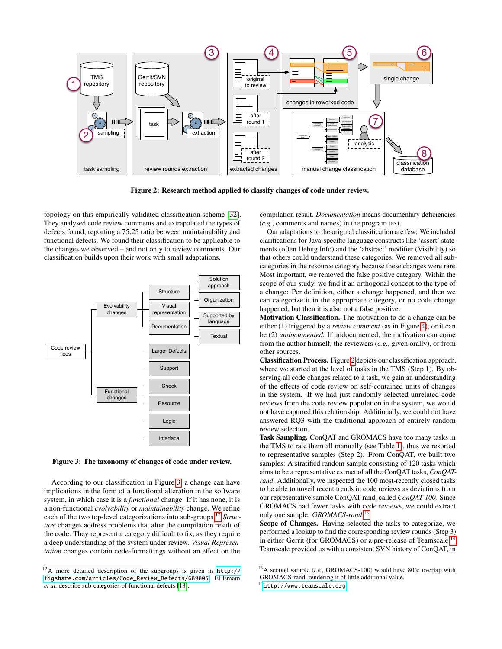

Figure 2: Research method applied to classify changes of code under review.

topology on this empirically validated classification scheme [\[32\]](#page-9-9). They analysed code review comments and extrapolated the types of defects found, reporting a 75:25 ratio between maintainability and functional defects. We found their classification to be applicable to the changes we observed – and not only to review comments. Our classification builds upon their work with small adaptations.



<span id="page-3-0"></span>Figure 3: The taxonomy of changes of code under review.

According to our classification in Figure [3,](#page-3-0) a change can have implications in the form of a functional alteration in the software system, in which case it is a *functional* change. If it has none, it is a non-functional *evolvability* or *maintainability* change. We refine each of the two top-level categorizations into sub-groups.[12](#page-3-1) *Structure* changes address problems that alter the compilation result of the code. They represent a category difficult to fix, as they require a deep understanding of the system under review. *Visual Representation* changes contain code-formattings without an effect on the <span id="page-3-2"></span>compilation result. *Documentation* means documentary deficiencies (*e.g.*, comments and names) in the program text.

Our adaptations to the original classification are few: We included clarifications for Java-specific language constructs like 'assert' statements (often Debug Info) and the 'abstract' modifier (Visibility) so that others could understand these categories. We removed all subcategories in the resource category because these changes were rare. Most important, we removed the false positive category. Within the scope of our study, we find it an orthogonal concept to the type of a change: Per definition, either a change happened, and then we can categorize it in the appropriate category, or no code change happened, but then it is also not a false positive.

Motivation Classification. The motivation to do a change can be either (1) triggered by a *review comment* (as in Figure [4\)](#page-4-0), or it can be (2) *undocumented.* If undocumented, the motivation can come from the author himself, the reviewers (*e.g.*, given orally), or from other sources.

Classification Process. Figure [2](#page-3-2) depicts our classification approach, where we started at the level of tasks in the TMS (Step 1). By observing all code changes related to a task, we gain an understanding of the effects of code review on self-contained units of changes in the system. If we had just randomly selected unrelated code reviews from the code review population in the system, we would not have captured this relationship. Additionally, we could not have answered RQ3 with the traditional approach of entirely random review selection.

Task Sampling. ConQAT and GROMACS have too many tasks in the TMS to rate them all manually (see Table [1\)](#page-2-4), thus we resorted to representative samples (Step 2). From ConQAT, we built two samples: A stratified random sample consisting of 120 tasks which aims to be a representative extract of all the ConQAT tasks, *ConQATrand*. Additionally, we inspected the 100 most-recently closed tasks to be able to unveil recent trends in code reviews as deviations from our representative sample ConQAT-rand, called *ConQAT-100.* Since GROMACS had fewer tasks with code reviews, we could extract only one sample: *GROMACS-rand*. [13](#page-3-3)

Scope of Changes. Having selected the tasks to categorize, we performed a lookup to find the corresponding review rounds (Step 3) in either Gerrit (for GROMACS) or a pre-release of Teamscale.<sup>[14](#page-3-4)</sup> Teamscale provided us with a consistent SVN history of ConQAT, in

<span id="page-3-1"></span><sup>12</sup>A more detailed description of the subgroups is given in [http://](http://figshare.com/articles/Code_Review_Defects/689805) [figshare.com/articles/Code\\_Review\\_Defects/689805](http://figshare.com/articles/Code_Review_Defects/689805). El Emam *et al.* describe sub-categories of functional defects [\[18\]](#page-9-24).

<span id="page-3-3"></span><sup>13</sup>A second sample (*i.e.*, GROMACS-100) would have 80% overlap with GROMACS-rand, rendering it of little additional value. <sup>14</sup><http://www.teamscale.org>

<span id="page-3-4"></span>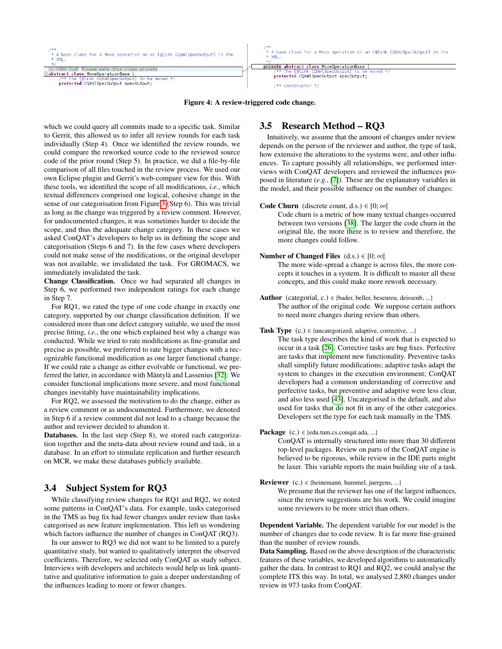

<span id="page-4-0"></span>which we could query all commits made to a specific task. Similar to Gerrit, this allowed us to infer all review rounds for each task individually (Step 4). Once we identified the review rounds, we could compare the reworked source code to the reviewed source code of the prior round (Step 5). In practice, we did a file-by-file comparison of all files touched in the review process. We used our own Eclipse plugin and Gerrit's web-compare view for this. With these tools, we identified the scope of all modifications, *i.e.*, which textual differences comprised one logical, cohesive change in the sense of our categorisation from Figure [3](#page-3-0) (Step 6). This was trivial as long as the change was triggered by a review comment. However, for undocumented changes, it was sometimes harder to decide the scope, and thus the adequate change category. In these cases we asked ConQAT's developers to help us in defining the scope and categorisation (Steps 6 and 7). In the few cases where developers could not make sense of the modifications, or the original developer was not available, we invalidated the task. For GROMACS, we immediately invalidated the task.

Change Classification. Once we had separated all changes in Step 6, we performed two independent ratings for each change in Step 7.

For RQ1, we rated the type of one code change in exactly one category, supported by our change classification definition. If we considered more than one defect category suitable, we used the most precise fitting, *i.e.*, the one which explained best why a change was conducted. While we tried to rate modifications as fine-granular and precise as possible, we preferred to rate bigger changes with a recognizable functional modification as one larger functional change. If we could rate a change as either evolvable or functional, we preferred the latter, in accordance with Mäntylä and Lassenius [\[32\]](#page-9-9): We consider functional implications more severe, and most functional changes inevitably have maintainability implications.

For RQ2, we assessed the motivation to do the change, either as a review comment or as undocumented. Furthermore, we denoted in Step 6 if a review comment did not lead to a change because the author and reviewer decided to abandon it.

Databases. In the last step (Step 8), we stored each categorization together and the meta-data about review round and task, in a database. In an effort to stimulate replication and further research on MCR, we make these databases publicly available.

# 3.4 Subject System for RQ3

While classifying review changes for RQ1 and RQ2, we noted some patterns in ConQAT's data. For example, tasks categorised in the TMS as bug fix had fewer changes under review than tasks categorised as new feature implementation. This left us wondering which factors influence the number of changes in ConQAT (RQ3).

In our answer to RQ3 we did not want to be limited to a purely quantitative study, but wanted to qualitatively interpret the observed coefficients. Therefore, we selected only ConQAT as study subject. Interviews with developers and architects would help us link quantitative and qualitative information to gain a deeper understanding of the influences leading to more or fewer changes.

# 3.5 Research Method – RQ3

Intuitively, we assume that the amount of changes under review depends on the person of the reviewer and author, the type of task, how extensive the alterations to the systems were, and other influences. To capture possibly all relationships, we performed interviews with ConQAT developers and reviewed the influences proposed in literature (*e.g.*, [\[7\]](#page-8-1)). These are the explanatory variables in the model, and their possible influence on the number of changes:

#### Code Churn (discrete count, d.s.)  $\in$  [0;  $\infty$ [

Code churn is a metric of how many textual changes occurred between two versions [\[38\]](#page-9-33). The larger the code churn in the original file, the more there is to review and therefore, the more changes could follow.

**Number of Changed Files**  $(d.s.) \in [0, \infty[$ 

The more wide-spread a change is across files, the more concepts it touches in a system. It is difficult to master all these concepts, and this could make more rework necessary.

Author (categorial, c.)  $\in$  {bader, beller, besenreu, deissenb, ...} The author of the original code. We suppose certain authors to need more changes during review than others.

#### **Task Type** (c.)  $\in$  {uncategorized, adaptive, corrective, ...} The task type describes the kind of work that is expected to occur in a task [\[26\]](#page-9-34). Corrective tasks are bug fixes. Perfective are tasks that implement new functionality. Preventive tasks shall simplify future modifications; adaptive tasks adapt the system to changes in the execution environment; ConQAT developers had a common understanding of corrective and perfective tasks, but preventive and adaptive were less clear, and also less used [\[43\]](#page-9-35). Uncategorised is the default, and also used for tasks that do not fit in any of the other categories. Developers set the type for each task manually in the TMS.

#### **Package** (c.)  $\in$  {edu.tum.cs.conqat.ada, ...}

ConQAT is internally structured into more than 30 different top-level packages. Review on parts of the ConQAT engine is believed to be rigorous, while review in the IDE parts might be laxer. This variable reports the main building site of a task.

**Reviewer** (c.)  $\in$  {heinemann, hummel, juergens, ...}

We presume that the reviewer has one of the largest influences, since the review suggestions are his work. We could imagine some reviewers to be more strict than others.

Dependent Variable. The dependent variable for our model is the number of changes due to code review. It is far more fine-grained than the number of review rounds.

Data Sampling. Based on the above description of the characteristic features of these variables, we developed algorithms to automatically gather the data. In contrast to RQ1 and RQ2, we could analyse the complete ITS this way. In total, we analysed 2,880 changes under review in 973 tasks from ConQAT.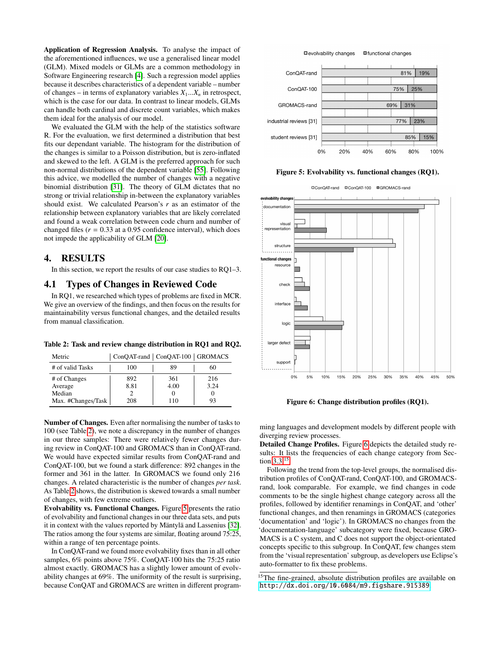Application of Regression Analysis. To analyse the impact of the aforementioned influences, we use a generalised linear model (GLM). Mixed models or GLMs are a common methodology in Software Engineering research [\[4\]](#page-8-6). Such a regression model applies because it describes characteristics of a dependent variable – number of changes – in terms of explanatory variables  $X_1...X_n$  in retrospect, which is the case for our data. In contrast to linear models, GLMs can handle both cardinal and discrete count variables, which makes them ideal for the analysis of our model.

We evaluated the GLM with the help of the statistics software R. For the evaluation, we first determined a distribution that best fits our dependant variable. The histogram for the distribution of the changes is similar to a Poisson distribution, but is zero-inflated and skewed to the left. A GLM is the preferred approach for such non-normal distributions of the dependent variable [\[55\]](#page-9-36). Following this advice, we modelled the number of changes with a negative binomial distribution [\[31\]](#page-9-37). The theory of GLM dictates that no strong or trivial relationship in-between the explanatory variables should exist. We calculated Pearson's *r* as an estimator of the relationship between explanatory variables that are likely correlated and found a weak correlation between code churn and number of changed files  $(r = 0.33$  at a 0.95 confidence interval), which does not impede the applicability of GLM [\[20\]](#page-9-38).

# <span id="page-5-0"></span>4. RESULTS

In this section, we report the results of our case studies to RQ1–3.

#### 4.1 Types of Changes in Reviewed Code

In RQ1, we researched which types of problems are fixed in MCR. We give an overview of the findings, and then focus on the results for maintainability versus functional changes, and the detailed results from manual classification.

<span id="page-5-1"></span>Table 2: Task and review change distribution in RQ1 and RQ2.

| Metric             | ConQAT-rand   ConQAT-100   GROMACS |      |      |
|--------------------|------------------------------------|------|------|
| # of valid Tasks   | 100                                | 89   | 60   |
| # of Changes       | 892                                | 361  | 216  |
| Average            | 8.81                               | 4.00 | 3.24 |
| Median             |                                    |      |      |
| Max. #Changes/Task | 208                                | 110  | 93   |

Number of Changes. Even after normalising the number of tasks to 100 (see Table [2\)](#page-5-1), we note a discrepancy in the number of changes in our three samples: There were relatively fewer changes during review in ConQAT-100 and GROMACS than in ConQAT-rand. We would have expected similar results from ConQAT-rand and ConQAT-100, but we found a stark difference: 892 changes in the former and 361 in the latter. In GROMACS we found only 216 changes. A related characteristic is the number of changes *per task*. As Table [2](#page-5-1) shows, the distribution is skewed towards a small number of changes, with few extreme outliers.

Evolvability vs. Functional Changes. Figure [5](#page-5-2) presents the ratio of evolvability and functional changes in our three data sets, and puts it in context with the values reported by Mäntylä and Lassenius [\[32\]](#page-9-9). The ratios among the four systems are similar, floating around 75:25, within a range of ten percentage points.

In ConQAT-rand we found more evolvability fixes than in all other samples, 6% points above 75%. ConQAT-100 hits the 75:25 ratio almost exactly. GROMACS has a slightly lower amount of evolvability changes at 69%. The uniformity of the result is surprising, because ConQAT and GROMACS are written in different program-





Figure 5: Evolvability vs. functional changes (RQ1).

<span id="page-5-2"></span>□ConQAT-rand □ConQAT-100 ■GROMACS-rand



<span id="page-5-3"></span>Figure 6: Change distribution profiles (RQ1).

ming languages and development models by different people with diverging review processes.

Detailed Change Profiles. Figure [6](#page-5-3) depicts the detailed study results: It lists the frequencies of each change category from Section [3.3.](#page-3-2)[15](#page-5-4)

Following the trend from the top-level groups, the normalised distribution profiles of ConQAT-rand, ConQAT-100, and GROMACSrand, look comparable. For example, we find changes in code comments to be the single highest change category across all the profiles, followed by identifier renamings in ConQAT, and 'other' functional changes, and then renamings in GROMACS (categories 'documentation' and 'logic'). In GROMACS no changes from the 'documentation-language' subcategory were fixed, because GRO-MACS is a C system, and C does not support the object-orientated concepts specific to this subgroup. In ConQAT, few changes stem from the 'visual representation' subgroup, as developers use Eclipse's auto-formatter to fix these problems.

<span id="page-5-4"></span><sup>&</sup>lt;sup>15</sup>The fine-grained, absolute distribution profiles are available on <http://dx.doi.org/10.6084/m9.figshare.915389>.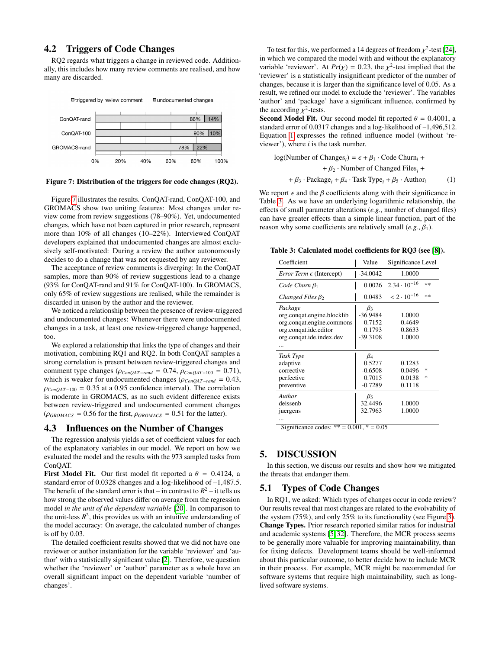# 4.2 Triggers of Code Changes

RQ2 regards what triggers a change in reviewed code. Additionally, this includes how many review comments are realised, and how many are discarded.



Figure 7: Distribution of the triggers for code changes (RQ2).

Figure [7](#page-6-1) illustrates the results. ConQAT-rand, ConQAT-100, and GROMACS show two uniting features: Most changes under review come from review suggestions (78–90%). Yet, undocumented changes, which have not been captured in prior research, represent more than 10% of all changes (10–22%). Interviewed ConQAT developers explained that undocumented changes are almost exclusively self-motivated: During a review the author autonomously decides to do a change that was not requested by any reviewer.

The acceptance of review comments is diverging: In the ConQAT samples, more than 90% of review suggestions lead to a change (93% for ConQAT-rand and 91% for ConQAT-100). In GROMACS, only 65% of review suggestions are realised, while the remainder is discarded in unison by the author and the reviewer.

We noticed a relationship between the presence of review-triggered and undocumented changes: Whenever there were undocumented changes in a task, at least one review-triggered change happened, too.

We explored a relationship that links the type of changes and their motivation, combining RQ1 and RQ2. In both ConQAT samples a strong correlation is present between review-triggered changes and comment type changes ( $\rho_{ConQAT-rand} = 0.74$ ,  $\rho_{ConQAT-100} = 0.71$ ), which is weaker for undocumented changes ( $\rho_{ConQAT-rand} = 0.43$ ,  $\rho_{ConQAT-100} = 0.35$  at a 0.95 confidence interval). The correlation is moderate in GROMACS, as no such evident difference exists between review-triggered and undocumented comment changes  $(\rho_{\text{GROMACS}} = 0.56$  for the first,  $\rho_{\text{GROMACS}} = 0.51$  for the latter).

#### 4.3 Influences on the Number of Changes

The regression analysis yields a set of coefficient values for each of the explanatory variables in our model. We report on how we evaluated the model and the results with the 973 sampled tasks from ConQAT.

First Model Fit. Our first model fit reported a  $\theta = 0.4124$ , a standard error of 0.0328 changes and a log-likelihood of –1,487.5. The benefit of the standard error is that – in contrast to  $R^2$  – it tells us how strong the observed values differ on average from the regression model *in the unit of the dependent variable* [\[20\]](#page-9-38). In comparison to the unit-less  $R^2$ , this provides us with an intuitive understanding of the model accuracy: On average, the calculated number of changes is off by 0.03.

The detailed coefficient results showed that we did not have one reviewer or author instantiation for the variable 'reviewer' and 'author' with a statistically significant value [\[2\]](#page-8-9). Therefore, we question whether the 'reviewer' or 'author' parameter as a whole have an overall significant impact on the dependent variable 'number of changes'.

To test for this, we performed a 14 degrees of freedom  $\chi^2$ -test [\[24\]](#page-9-39),<br>which we compared the model with and without the explanatory in which we compared the model with and without the explanatory variable 'reviewer'. At  $Pr(\chi) = 0.23$ , the  $\chi^2$ -test implied that the transference of the number of 'reviewer' is a statistically insignificant predictor of the number of changes, because it is larger than the significance level of <sup>0</sup>.05. As a result, we refined our model to exclude the 'reviewer'. The variables 'author' and 'package' have a significant influence, confirmed by the according  $\chi^2$ -tests.<br>Second Model Fit O

**Second Model Fit.** Our second model fit reported  $\theta = 0.4001$ , a standard error of 0.0317 changes and a log-likelihood of –1,496,512. Equation [1](#page-6-2) expresses the refined influence model (without 'reviewer'), where *i* is the task number.

<span id="page-6-2"></span>log(Number of Changes<sub>i</sub>) = 
$$
\epsilon + \beta_1 \cdot
$$
Code Churn<sub>i</sub> +  
+  $\beta_2 \cdot$ Number of Changed Files<sub>i</sub> +  
+  $\beta_3 \cdot$  Package<sub>i</sub> +  $\beta_4 \cdot$ Task Type<sub>i</sub> +  $\beta_5 \cdot$  Author<sub>i</sub> (1)

<span id="page-6-1"></span>We report  $\epsilon$  and the  $\beta$  coefficients along with their significance in Table [3.](#page-6-3) As we have an underlying logarithmic relationship, the effects of small parameter alterations (*e.g.*, number of changed files) can have greater effects than a simple linear function, part of the reason why some coefficients are relatively small  $(e, g_1, \beta_1)$ .

<span id="page-6-3"></span>Table 3: Calculated model coefficients for RQ3 (see [\[8\]](#page-8-7)).

| Coefficient                                                                                                             | Value                                                     | Significance Level                                |  |
|-------------------------------------------------------------------------------------------------------------------------|-----------------------------------------------------------|---------------------------------------------------|--|
| <i>Error Term <math>\epsilon</math></i> (Intercept)                                                                     | $-34.0042$                                                | 1.0000                                            |  |
| Code Churn $\beta_1$                                                                                                    |                                                           | $0.0026$   2.34 $\cdot$ 10 <sup>-16</sup><br>$**$ |  |
| Changed Files $\beta_2$                                                                                                 | 0.0483                                                    | $< 2 \cdot 10^{-16}$<br>$**$                      |  |
| Package<br>org.conqat.engine.blocklib<br>org.conqat.engine.commons<br>org.congat.ide.editor<br>org.conqat.ide.index.dev | $\beta_3$<br>$-36.9484$<br>0.7152<br>0.1793<br>$-39.3108$ | 1.0000<br>0.4649<br>0.8633<br>1.0000              |  |
| Task Type<br>adaptive<br>corrective<br>perfective<br>preventive                                                         | $\beta_4$<br>0.5277<br>$-0.6508$<br>0.7015<br>$-0.7289$   | 0.1283<br>0.0496<br>冰<br>0.0138<br>×.<br>0.1118   |  |
| Author<br>deissenb<br>juergens                                                                                          | $\beta_5$<br>32.4496<br>32.7963                           | 1.0000<br>1.0000                                  |  |

Significance codes:  $** = 0.001, * = 0.05$ 

# <span id="page-6-0"></span>5. DISCUSSION

In this section, we discuss our results and show how we mitigated the threats that endanger them.

#### 5.1 Types of Code Changes

In RQ1, we asked: Which types of changes occur in code review? Our results reveal that most changes are related to the evolvability of the system (75%), and only 25% to its functionality (see Figure [3\)](#page-3-0). Change Types. Prior research reported similar ratios for industrial and academic systems [\[5,](#page-8-0) [32\]](#page-9-9). Therefore, the MCR process seems to be generally more valuable for improving maintainability, than for fixing defects. Development teams should be well-informed about this particular outcome, to better decide how to include MCR in their process. For example, MCR might be recommended for software systems that require high maintainability, such as longlived software systems.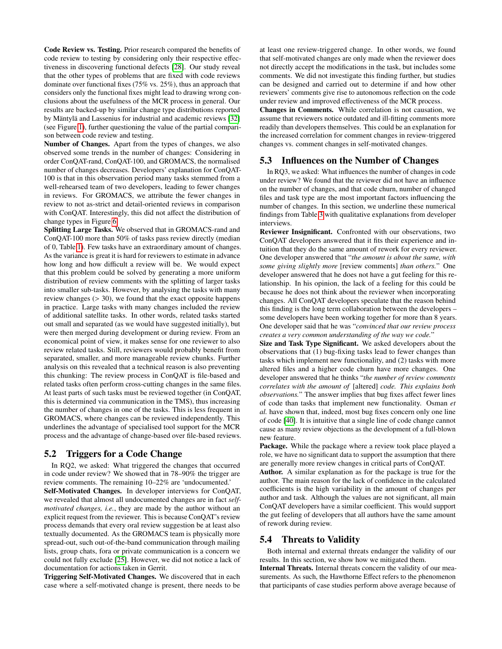Code Review vs. Testing. Prior research compared the benefits of code review to testing by considering only their respective effectiveness in discovering functional defects [\[28\]](#page-9-17). Our study reveal that the other types of problems that are fixed with code reviews dominate over functional fixes (75% vs. 25%), thus an approach that considers only the functional fixes might lead to drawing wrong conclusions about the usefulness of the MCR process in general. Our results are backed-up by similar change type distributions reported by Mäntylä and Lassenius for industrial and academic reviews [\[32\]](#page-9-9) (see Figure [1\)](#page-1-5), further questioning the value of the partial comparison between code review and testing.

Number of Changes. Apart from the types of changes, we also observed some trends in the number of changes: Considering in order ConQAT-rand, ConQAT-100, and GROMACS, the normalised number of changes decreases. Developers' explanation for ConQAT-100 is that in this observation period many tasks stemmed from a well-rehearsed team of two developers, leading to fewer changes in reviews. For GROMACS, we attribute the fewer changes in review to not as-strict and detail-oriented reviews in comparison with ConQAT. Interestingly, this did not affect the distribution of change types in Figure [6.](#page-5-3)

Splitting Large Tasks. We observed that in GROMACS-rand and ConQAT-100 more than 50% of tasks pass review directly (median of 0, Table [1\)](#page-2-4). Few tasks have an extraordinary amount of changes. As the variance is great it is hard for reviewers to estimate in advance how long and how difficult a review will be. We would expect that this problem could be solved by generating a more uniform distribution of review comments with the splitting of larger tasks into smaller sub-tasks. However, by analysing the tasks with many review changes  $(> 30)$ , we found that the exact opposite happens in practice. Large tasks with many changes included the review of additional satellite tasks. In other words, related tasks started out small and separated (as we would have suggested initially), but were then merged during development or during review. From an economical point of view, it makes sense for one reviewer to also review related tasks. Still, reviewers would probably benefit from separated, smaller, and more manageable review chunks. Further analysis on this revealed that a technical reason is also preventing this chunking: The review process in ConQAT is file-based and related tasks often perform cross-cutting changes in the same files. At least parts of such tasks must be reviewed together (in ConQAT, this is determined via communication in the TMS), thus increasing the number of changes in one of the tasks. This is less frequent in GROMACS, where changes can be reviewed independently. This underlines the advantage of specialised tool support for the MCR process and the advantage of change-based over file-based reviews.

#### 5.2 Triggers for a Code Change

In RQ2, we asked: What triggered the changes that occurred in code under review? We showed that in 78–90% the trigger are review comments. The remaining 10–22% are 'undocumented.' Self-Motivated Changes. In developer interviews for ConQAT, we revealed that almost all undocumented changes are in fact *selfmotivated changes, i.e.*, they are made by the author without an explicit request from the reviewer. This is because ConQAT's review process demands that every oral review suggestion be at least also textually documented. As the GROMACS team is physically more spread-out, such out-of-the-band communication through mailing lists, group chats, fora or private communication is a concern we could not fully exclude [\[25\]](#page-9-40). However, we did not notice a lack of documentation for actions taken in Gerrit.

Triggering Self-Motivated Changes. We discovered that in each case where a self-motivated change is present, there needs to be at least one review-triggered change. In other words, we found that self-motivated changes are only made when the reviewer does not directly accept the modifications in the task, but includes some comments. We did not investigate this finding further, but studies can be designed and carried out to determine if and how other reviewers' comments give rise to autonomous reflection on the code under review and improved effectiveness of the MCR process.

Changes in Comments. While correlation is not causation, we assume that reviewers notice outdated and ill-fitting comments more readily than developers themselves. This could be an explanation for the increased correlation for comment changes in review-triggered changes vs. comment changes in self-motivated changes.

## 5.3 Influences on the Number of Changes

In RQ3, we asked: What influences the number of changes in code under review? We found that the reviewer did not have an influence on the number of changes, and that code churn, number of changed files and task type are the most important factors influencing the number of changes. In this section, we underline these numerical findings from Table [3](#page-6-3) with qualitative explanations from developer interviews.

Reviewer Insignificant. Confronted with our observations, two ConQAT developers answered that it fits their experience and intuition that they do the same amount of rework for every reviewer. One developer answered that "*the amount is about the same, with some giving slightly more* [review comments] *than others.*" One developer answered that he does not have a gut feeling for this relationship. In his opinion, the lack of a feeling for this could be because he does not think about the reviewer when incorporating changes. All ConQAT developers speculate that the reason behind this finding is the long term collaboration between the developers – some developers have been working together for more than 8 years. One developer said that he was "*convinced that our review process creates a very common understanding of the way we code.*"

Size and Task Type Significant. We asked developers about the observations that (1) bug-fixing tasks lead to fewer changes than tasks which implement new functionality, and (2) tasks with more altered files and a higher code churn have more changes. One developer answered that he thinks "*the number of review comments correlates with the amount of* [altered] *code. This explains both observations.*" The answer implies that bug fixes affect fewer lines of code than tasks that implement new functionality. Osman *et al.* have shown that, indeed, most bug fixes concern only one line of code [\[40\]](#page-9-41). It is intuitive that a single line of code change cannot cause as many review objections as the development of a full-blown new feature.

Package. While the package where a review took place played a role, we have no significant data to support the assumption that there are generally more review changes in critical parts of ConQAT.

Author. A similar explanation as for the package is true for the author. The main reason for the lack of confidence in the calculated coefficients is the high variability in the amount of changes per author and task. Although the values are not significant, all main ConQAT developers have a similar coefficient. This would support the gut feeling of developers that all authors have the same amount of rework during review.

#### 5.4 Threats to Validity

Both internal and external threats endanger the validity of our results. In this section, we show how we mitigated them.

Internal Threats. Internal threats concern the validity of our measurements. As such, the Hawthorne Effect refers to the phenomenon that participants of case studies perform above average because of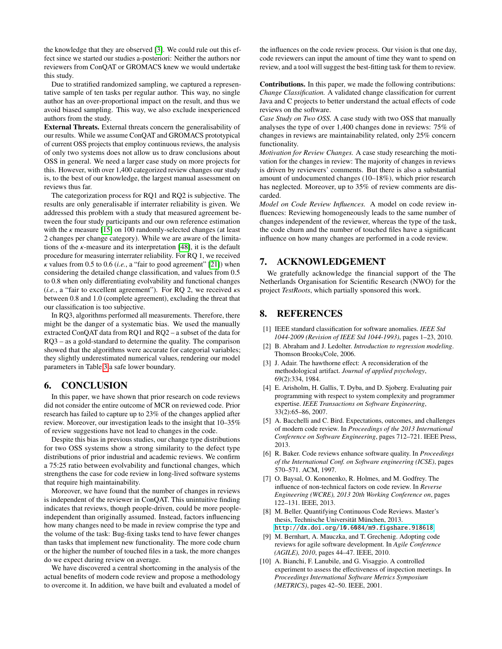the knowledge that they are observed [\[3\]](#page-8-10). We could rule out this effect since we started our studies a-posteriori: Neither the authors nor reviewers from ConQAT or GROMACS knew we would undertake this study.

Due to stratified randomized sampling, we captured a representative sample of ten tasks per regular author. This way, no single author has an over-proportional impact on the result, and thus we avoid biased sampling. This way, we also exclude inexperienced authors from the study.

External Threats. External threats concern the generalisability of our results. While we assume ConQAT and GROMACS prototypical of current OSS projects that employ continuous reviews, the analysis of only two systems does not allow us to draw conclusions about OSS in general. We need a larger case study on more projects for this. However, with over 1,400 categorized review changes our study is, to the best of our knowledge, the largest manual assessment on reviews thus far.

The categorization process for RQ1 and RQ2 is subjective. The results are only generalisable if interrater reliability is given. We addressed this problem with a study that measured agreement between the four study participants and our own reference estimation with the  $\kappa$  measure [\[15\]](#page-9-42) on 100 randomly-selected changes (at least 2 changes per change category). While we are aware of the limitations of the  $\kappa$ -measure and its interpretation [\[48\]](#page-9-43), it is the default procedure for measuring interrater reliability. For RQ 1, we received  $\kappa$  values from 0.5 to 0.6 (*i.e.*, a "fair to good agreement" [\[21\]](#page-9-44)) when considering the detailed change classification, and values from 0.5 to 0.8 when only differentiating evolvability and functional changes (*i.e.*, a "fair to excellent agreement"). For RQ 2, we received  $\kappa s$ between 0.8 and 1.0 (complete agreement), excluding the threat that our classification is too subjective.

In RQ3, algorithms performed all measurements. Therefore, there might be the danger of a systematic bias. We used the manually extracted ConQAT data from RQ1 and RQ2 – a subset of the data for RQ3 – as a gold-standard to determine the quality. The comparison showed that the algorithms were accurate for categorial variables; they slightly underestimated numerical values, rendering our model parameters in Table [3](#page-6-3) a safe lower boundary.

# <span id="page-8-2"></span>6. CONCLUSION

In this paper, we have shown that prior research on code reviews did not consider the entire outcome of MCR on reviewed code. Prior research has failed to capture up to 23% of the changes applied after review. Moreover, our investigation leads to the insight that 10–35% of review suggestions have not lead to changes in the code.

Despite this bias in previous studies, our change type distributions for two OSS systems show a strong similarity to the defect type distributions of prior industrial and academic reviews. We confirm a 75:25 ratio between evolvability and functional changes, which strengthens the case for code review in long-lived software systems that require high maintainability.

Moreover, we have found that the number of changes in reviews is independent of the reviewer in ConQAT. This unintuitive finding indicates that reviews, though people-driven, could be more peopleindependent than originally assumed. Instead, factors influencing how many changes need to be made in review comprise the type and the volume of the task: Bug-fixing tasks tend to have fewer changes than tasks that implement new functionality. The more code churn or the higher the number of touched files in a task, the more changes do we expect during review on average.

We have discovered a central shortcoming in the analysis of the actual benefits of modern code review and propose a methodology to overcome it. In addition, we have built and evaluated a model of the influences on the code review process. Our vision is that one day, code reviewers can input the amount of time they want to spend on review, and a tool will suggest the best-fitting task for them to review.

Contributions. In this paper, we made the following contributions: *Change Classification.* A validated change classification for current Java and C projects to better understand the actual effects of code reviews on the software.

*Case Study on Two OSS.* A case study with two OSS that manually analyses the type of over 1,400 changes done in reviews: 75% of changes in reviews are maintainability related, only 25% concern functionality.

*Motivation for Review Changes.* A case study researching the motivation for the changes in review: The majority of changes in reviews is driven by reviewers' comments. But there is also a substantial amount of undocumented changes (10–18%), which prior research has neglected. Moreover, up to 35% of review comments are discarded.

*Model on Code Review Influences.* A model on code review influences: Reviewing homogeneously leads to the same number of changes independent of the reviewer, whereas the type of the task, the code churn and the number of touched files have a significant influence on how many changes are performed in a code review.

## 7. ACKNOWLEDGEMENT

We gratefully acknowledge the financial support of the The Netherlands Organisation for Scientific Research (NWO) for the project *TestRoots*, which partially sponsored this work.

### 8. REFERENCES

- <span id="page-8-8"></span>[1] IEEE standard classification for software anomalies. *IEEE Std 1044-2009 (Revision of IEEE Std 1044-1993)*, pages 1–23, 2010.
- <span id="page-8-9"></span>[2] B. Abraham and J. Ledolter. *Introduction to regression modeling*. Thomson Brooks/Cole, 2006.
- <span id="page-8-10"></span>[3] J. Adair. The hawthorne effect: A reconsideration of the methodological artifact. *Journal of applied psychology*, 69(2):334, 1984.
- <span id="page-8-6"></span>[4] E. Arisholm, H. Gallis, T. Dyba, and D. Sjoberg. Evaluating pair programming with respect to system complexity and programmer expertise. *IEEE Transactions on Software Engineering*, 33(2):65–86, 2007.
- <span id="page-8-0"></span>[5] A. Bacchelli and C. Bird. Expectations, outcomes, and challenges of modern code review. In *Proceedings of the 2013 International Conference on Software Engineering*, pages 712–721. IEEE Press, 2013.
- <span id="page-8-4"></span>[6] R. Baker. Code reviews enhance software quality. In *Proceedings of the International Conf. on Software engineering (ICSE)*, pages 570–571. ACM, 1997.
- <span id="page-8-1"></span>[7] O. Baysal, O. Kononenko, R. Holmes, and M. Godfrey. The influence of non-technical factors on code review. In *Reverse Engineering (WCRE), 2013 20th Working Conference on*, pages 122–131. IEEE, 2013.
- <span id="page-8-7"></span>[8] M. Beller. Quantifying Continuous Code Reviews. Master's thesis, Technische Universität München, 2013. <http://dx.doi.org/10.6084/m9.figshare.918618>.
- <span id="page-8-5"></span>[9] M. Bernhart, A. Mauczka, and T. Grechenig. Adopting code reviews for agile software development. In *Agile Conference (AGILE), 2010*, pages 44–47. IEEE, 2010.
- <span id="page-8-3"></span>[10] A. Bianchi, F. Lanubile, and G. Visaggio. A controlled experiment to assess the effectiveness of inspection meetings. In *Proceedings International Software Metrics Symposium (METRICS)*, pages 42–50. IEEE, 2001.